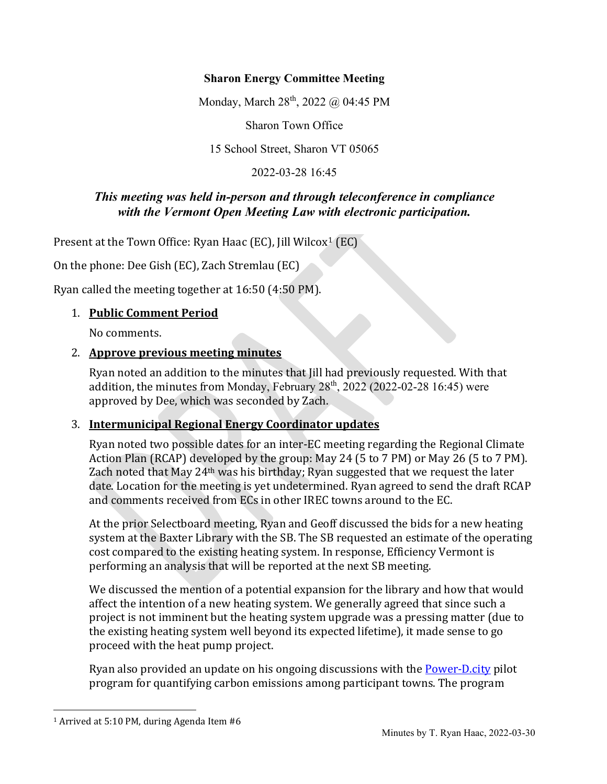### **Sharon Energy Committee Meeting**

Monday, March 28<sup>th</sup>, 2022 @ 04:45 PM

Sharon Town Office

15 School Street, Sharon VT 05065

2022-03-28 16:45

### *This meeting was held in-person and through teleconference in compliance with the Vermont Open Meeting Law with electronic participation.*

Present at the Town Office: Ryan Haac (EC), Jill Wilcox<sup>[1](#page-0-0)</sup> (EC)

On the phone: Dee Gish (EC), Zach Stremlau (EC)

Ryan called the meeting together at 16:50 (4:50 PM).

### 1. **Public Comment Period**

No comments.

### 2. **Approve previous meeting minutes**

Ryan noted an addition to the minutes that Jill had previously requested. With that addition, the minutes from Monday, February  $28<sup>th</sup>$ ,  $2022$  (2022-02-28 16:45) were approved by Dee, which was seconded by Zach.

### 3. **Intermunicipal Regional Energy Coordinator updates**

Ryan noted two possible dates for an inter-EC meeting regarding the Regional Climate Action Plan (RCAP) developed by the group: May 24 (5 to 7 PM) or May 26 (5 to 7 PM). Zach noted that May 24th was his birthday; Ryan suggested that we request the later date. Location for the meeting is yet undetermined. Ryan agreed to send the draft RCAP and comments received from ECs in other IREC towns around to the EC.

At the prior Selectboard meeting, Ryan and Geoff discussed the bids for a new heating system at the Baxter Library with the SB. The SB requested an estimate of the operating cost compared to the existing heating system. In response, Efficiency Vermont is performing an analysis that will be reported at the next SB meeting.

We discussed the mention of a potential expansion for the library and how that would affect the intention of a new heating system. We generally agreed that since such a project is not imminent but the heating system upgrade was a pressing matter (due to the existing heating system well beyond its expected lifetime), it made sense to go proceed with the heat pump project.

Ryan also provided an update on his ongoing discussions with the **Power-D.city** pilot program for quantifying carbon emissions among participant towns. The program

<span id="page-0-0"></span><sup>1</sup> Arrived at 5:10 PM, during Agenda Item #6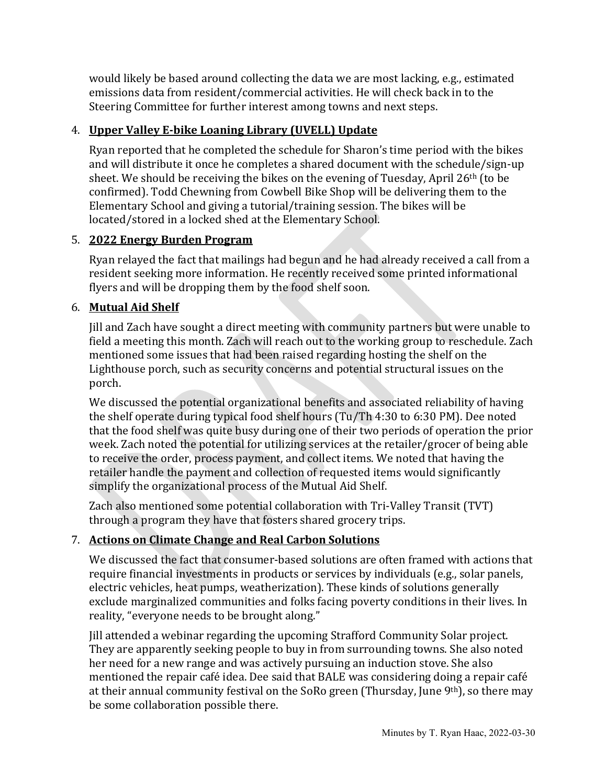would likely be based around collecting the data we are most lacking, e.g., estimated emissions data from resident/commercial activities. He will check back in to the Steering Committee for further interest among towns and next steps.

# 4. **Upper Valley E-bike Loaning Library (UVELL) Update**

Ryan reported that he completed the schedule for Sharon's time period with the bikes and will distribute it once he completes a shared document with the schedule/sign-up sheet. We should be receiving the bikes on the evening of Tuesday, April 26th (to be confirmed). Todd Chewning from Cowbell Bike Shop will be delivering them to the Elementary School and giving a tutorial/training session. The bikes will be located/stored in a locked shed at the Elementary School.

# 5. **2022 Energy Burden Program**

Ryan relayed the fact that mailings had begun and he had already received a call from a resident seeking more information. He recently received some printed informational flyers and will be dropping them by the food shelf soon.

# 6. **Mutual Aid Shelf**

Jill and Zach have sought a direct meeting with community partners but were unable to field a meeting this month. Zach will reach out to the working group to reschedule. Zach mentioned some issues that had been raised regarding hosting the shelf on the Lighthouse porch, such as security concerns and potential structural issues on the porch.

We discussed the potential organizational benefits and associated reliability of having the shelf operate during typical food shelf hours (Tu/Th 4:30 to 6:30 PM). Dee noted that the food shelf was quite busy during one of their two periods of operation the prior week. Zach noted the potential for utilizing services at the retailer/grocer of being able to receive the order, process payment, and collect items. We noted that having the retailer handle the payment and collection of requested items would significantly simplify the organizational process of the Mutual Aid Shelf.

Zach also mentioned some potential collaboration with Tri-Valley Transit (TVT) through a program they have that fosters shared grocery trips.

# 7. **Actions on Climate Change and Real Carbon Solutions**

We discussed the fact that consumer-based solutions are often framed with actions that require financial investments in products or services by individuals (e.g., solar panels, electric vehicles, heat pumps, weatherization). These kinds of solutions generally exclude marginalized communities and folks facing poverty conditions in their lives. In reality, "everyone needs to be brought along."

Jill attended a webinar regarding the upcoming Strafford Community Solar project. They are apparently seeking people to buy in from surrounding towns. She also noted her need for a new range and was actively pursuing an induction stove. She also mentioned the repair café idea. Dee said that BALE was considering doing a repair café at their annual community festival on the SoRo green (Thursday, June 9<sup>th</sup>), so there may be some collaboration possible there.